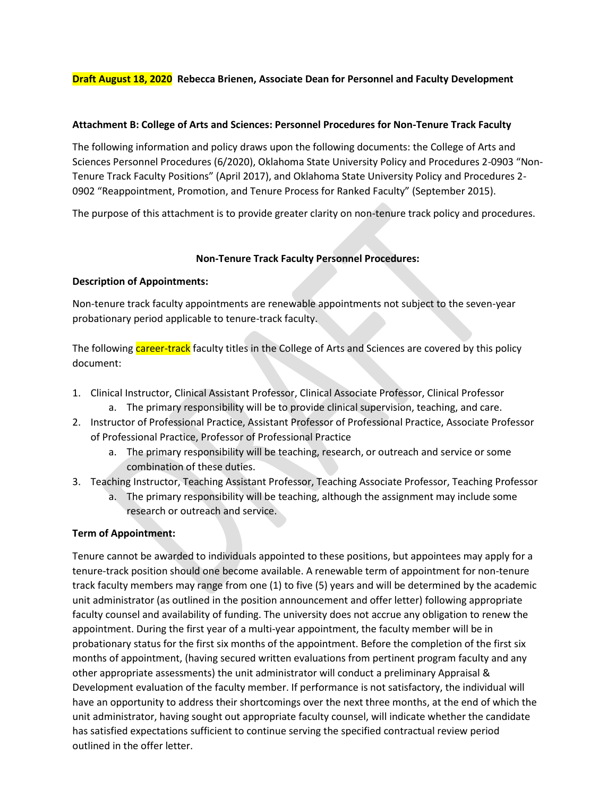# **Draft August 18, 2020 Rebecca Brienen, Associate Dean for Personnel and Faculty Development**

#### **Attachment B: College of Arts and Sciences: Personnel Procedures for Non-Tenure Track Faculty**

The following information and policy draws upon the following documents: the College of Arts and Sciences Personnel Procedures (6/2020), Oklahoma State University Policy and Procedures 2-0903 "Non-Tenure Track Faculty Positions" (April 2017), and Oklahoma State University Policy and Procedures 2- 0902 "Reappointment, Promotion, and Tenure Process for Ranked Faculty" (September 2015).

The purpose of this attachment is to provide greater clarity on non-tenure track policy and procedures.

#### **Non-Tenure Track Faculty Personnel Procedures:**

#### **Description of Appointments:**

Non-tenure track faculty appointments are renewable appointments not subject to the seven-year probationary period applicable to tenure-track faculty.

The following career-track faculty titles in the College of Arts and Sciences are covered by this policy document:

- 1. Clinical Instructor, Clinical Assistant Professor, Clinical Associate Professor, Clinical Professor
	- a. The primary responsibility will be to provide clinical supervision, teaching, and care.
- 2. Instructor of Professional Practice, Assistant Professor of Professional Practice, Associate Professor of Professional Practice, Professor of Professional Practice
	- a. The primary responsibility will be teaching, research, or outreach and service or some combination of these duties.
- 3. Teaching Instructor, Teaching Assistant Professor, Teaching Associate Professor, Teaching Professor
	- a. The primary responsibility will be teaching, although the assignment may include some research or outreach and service.

#### **Term of Appointment:**

Tenure cannot be awarded to individuals appointed to these positions, but appointees may apply for a tenure-track position should one become available. A renewable term of appointment for non-tenure track faculty members may range from one (1) to five (5) years and will be determined by the academic unit administrator (as outlined in the position announcement and offer letter) following appropriate faculty counsel and availability of funding. The university does not accrue any obligation to renew the appointment. During the first year of a multi-year appointment, the faculty member will be in probationary status for the first six months of the appointment. Before the completion of the first six months of appointment, (having secured written evaluations from pertinent program faculty and any other appropriate assessments) the unit administrator will conduct a preliminary Appraisal & Development evaluation of the faculty member. If performance is not satisfactory, the individual will have an opportunity to address their shortcomings over the next three months, at the end of which the unit administrator, having sought out appropriate faculty counsel, will indicate whether the candidate has satisfied expectations sufficient to continue serving the specified contractual review period outlined in the offer letter.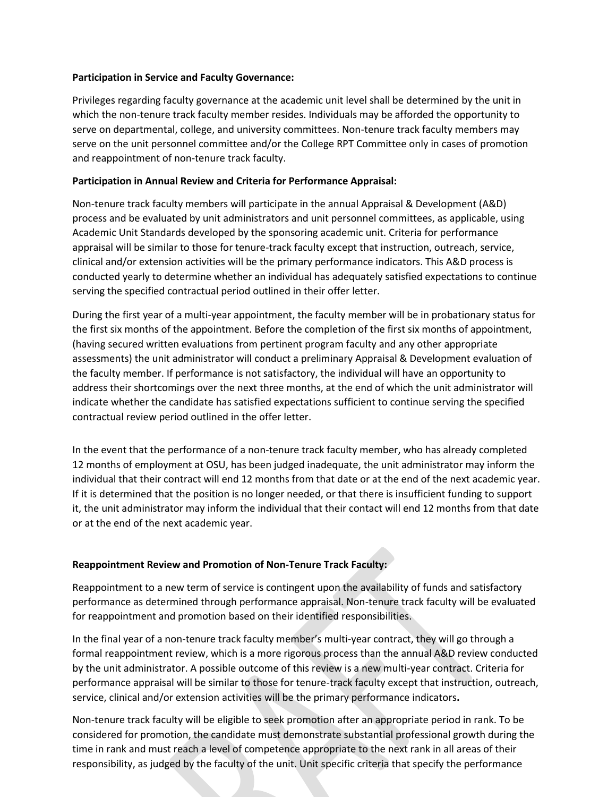## **Participation in Service and Faculty Governance:**

Privileges regarding faculty governance at the academic unit level shall be determined by the unit in which the non-tenure track faculty member resides. Individuals may be afforded the opportunity to serve on departmental, college, and university committees. Non-tenure track faculty members may serve on the unit personnel committee and/or the College RPT Committee only in cases of promotion and reappointment of non-tenure track faculty.

# **Participation in Annual Review and Criteria for Performance Appraisal:**

Non-tenure track faculty members will participate in the annual Appraisal & Development (A&D) process and be evaluated by unit administrators and unit personnel committees, as applicable, using Academic Unit Standards developed by the sponsoring academic unit. Criteria for performance appraisal will be similar to those for tenure-track faculty except that instruction, outreach, service, clinical and/or extension activities will be the primary performance indicators. This A&D process is conducted yearly to determine whether an individual has adequately satisfied expectations to continue serving the specified contractual period outlined in their offer letter.

During the first year of a multi-year appointment, the faculty member will be in probationary status for the first six months of the appointment. Before the completion of the first six months of appointment, (having secured written evaluations from pertinent program faculty and any other appropriate assessments) the unit administrator will conduct a preliminary Appraisal & Development evaluation of the faculty member. If performance is not satisfactory, the individual will have an opportunity to address their shortcomings over the next three months, at the end of which the unit administrator will indicate whether the candidate has satisfied expectations sufficient to continue serving the specified contractual review period outlined in the offer letter.

In the event that the performance of a non-tenure track faculty member, who has already completed 12 months of employment at OSU, has been judged inadequate, the unit administrator may inform the individual that their contract will end 12 months from that date or at the end of the next academic year. If it is determined that the position is no longer needed, or that there is insufficient funding to support it, the unit administrator may inform the individual that their contact will end 12 months from that date or at the end of the next academic year.

# **Reappointment Review and Promotion of Non-Tenure Track Faculty:**

Reappointment to a new term of service is contingent upon the availability of funds and satisfactory performance as determined through performance appraisal. Non-tenure track faculty will be evaluated for reappointment and promotion based on their identified responsibilities.

In the final year of a non-tenure track faculty member's multi-year contract, they will go through a formal reappointment review, which is a more rigorous process than the annual A&D review conducted by the unit administrator. A possible outcome of this review is a new multi-year contract. Criteria for performance appraisal will be similar to those for tenure-track faculty except that instruction, outreach, service, clinical and/or extension activities will be the primary performance indicators**.**

Non-tenure track faculty will be eligible to seek promotion after an appropriate period in rank. To be considered for promotion, the candidate must demonstrate substantial professional growth during the time in rank and must reach a level of competence appropriate to the next rank in all areas of their responsibility, as judged by the faculty of the unit. Unit specific criteria that specify the performance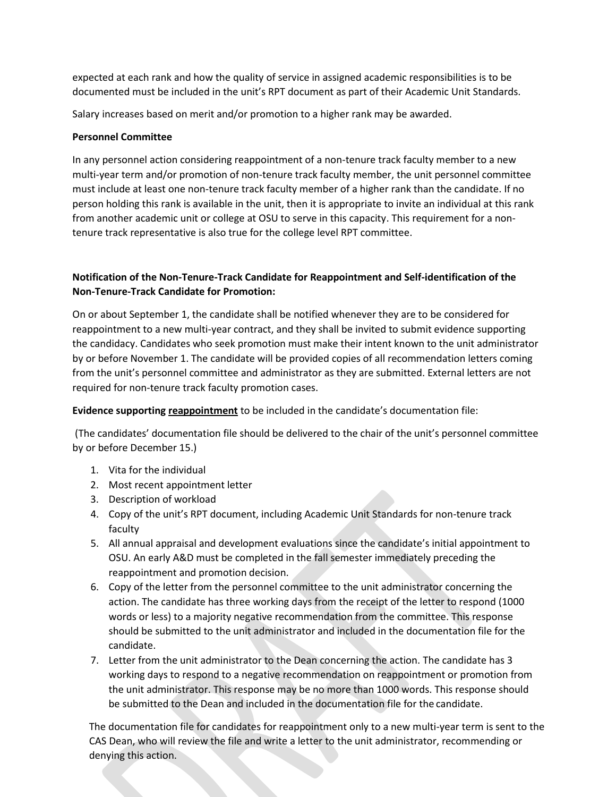expected at each rank and how the quality of service in assigned academic responsibilities is to be documented must be included in the unit's RPT document as part of their Academic Unit Standards.

Salary increases based on merit and/or promotion to a higher rank may be awarded.

# **Personnel Committee**

In any personnel action considering reappointment of a non-tenure track faculty member to a new multi-year term and/or promotion of non-tenure track faculty member, the unit personnel committee must include at least one non-tenure track faculty member of a higher rank than the candidate. If no person holding this rank is available in the unit, then it is appropriate to invite an individual at this rank from another academic unit or college at OSU to serve in this capacity. This requirement for a nontenure track representative is also true for the college level RPT committee.

# **Notification of the Non-Tenure-Track Candidate for Reappointment and Self-identification of the Non-Tenure-Track Candidate for Promotion:**

On or about September 1, the candidate shall be notified whenever they are to be considered for reappointment to a new multi-year contract, and they shall be invited to submit evidence supporting the candidacy. Candidates who seek promotion must make their intent known to the unit administrator by or before November 1. The candidate will be provided copies of all recommendation letters coming from the unit's personnel committee and administrator as they are submitted. External letters are not required for non-tenure track faculty promotion cases.

**Evidence supporting reappointment** to be included in the candidate's documentation file:

(The candidates' documentation file should be delivered to the chair of the unit's personnel committee by or before December 15.)

- 1. Vita for the individual
- 2. Most recent appointment letter
- 3. Description of workload
- 4. Copy of the unit's RPT document, including Academic Unit Standards for non-tenure track faculty
- 5. All annual appraisal and development evaluations since the candidate's initial appointment to OSU. An early A&D must be completed in the fall semester immediately preceding the reappointment and promotion decision.
- 6. Copy of the letter from the personnel committee to the unit administrator concerning the action. The candidate has three working days from the receipt of the letter to respond (1000 words or less) to a majority negative recommendation from the committee. This response should be submitted to the unit administrator and included in the documentation file for the candidate.
- 7. Letter from the unit administrator to the Dean concerning the action. The candidate has 3 working days to respond to a negative recommendation on reappointment or promotion from the unit administrator. This response may be no more than 1000 words. This response should be submitted to the Dean and included in the documentation file for the candidate.

The documentation file for candidates for reappointment only to a new multi-year term is sent to the CAS Dean, who will review the file and write a letter to the unit administrator, recommending or denying this action.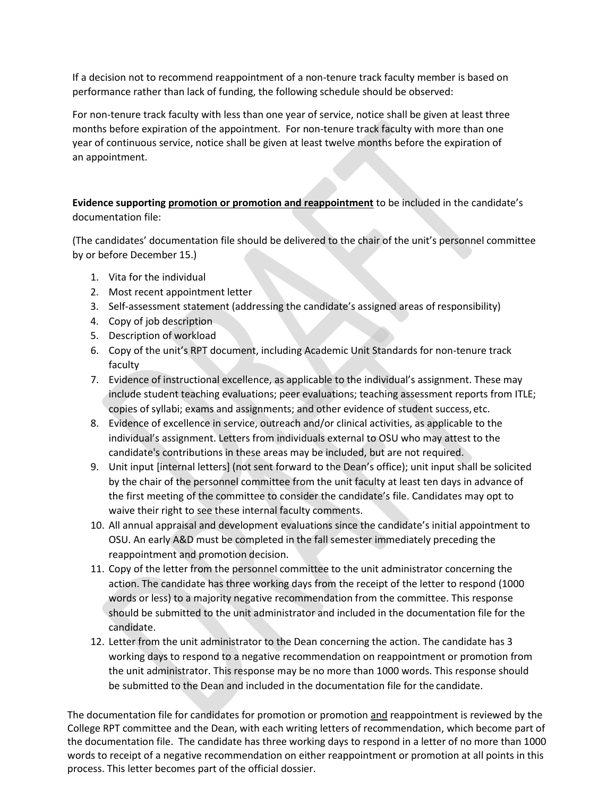If a decision not to recommend reappointment of a non-tenure track faculty member is based on performance rather than lack of funding, the following schedule should be observed:

For non-tenure track faculty with less than one year of service, notice shall be given at least three months before expiration of the appointment. For non-tenure track faculty with more than one year of continuous service, notice shall be given at least twelve months before the expiration of an appointment.

**Evidence supporting promotion or promotion and reappointment** to be included in the candidate's documentation file:

(The candidates' documentation file should be delivered to the chair of the unit's personnel committee by or before December 15.)

- 1. Vita for the individual
- 2. Most recent appointment letter
- 3. Self-assessment statement (addressing the candidate's assigned areas of responsibility)
- 4. Copy of job description
- 5. Description of workload
- 6. Copy of the unit's RPT document, including Academic Unit Standards for non-tenure track faculty
- 7. Evidence of instructional excellence, as applicable to the individual's assignment. These may include student teaching evaluations; peer evaluations; teaching assessment reports from ITLE; copies of syllabi; exams and assignments; and other evidence of student success, etc.
- 8. Evidence of excellence in service, outreach and/or clinical activities, as applicable to the individual's assignment. Letters from individuals external to OSU who may attest to the candidate's contributions in these areas may be included, but are not required.
- 9. Unit input [internal letters] (not sent forward to the Dean's office); unit input shall be solicited by the chair of the personnel committee from the unit faculty at least ten days in advance of the first meeting of the committee to consider the candidate's file. Candidates may opt to waive their right to see these internal faculty comments.
- 10. All annual appraisal and development evaluations since the candidate's initial appointment to OSU. An early A&D must be completed in the fall semester immediately preceding the reappointment and promotion decision.
- 11. Copy of the letter from the personnel committee to the unit administrator concerning the action. The candidate has three working days from the receipt of the letter to respond (1000 words or less) to a majority negative recommendation from the committee. This response should be submitted to the unit administrator and included in the documentation file for the candidate.
- 12. Letter from the unit administrator to the Dean concerning the action. The candidate has 3 working days to respond to a negative recommendation on reappointment or promotion from the unit administrator. This response may be no more than 1000 words. This response should be submitted to the Dean and included in the documentation file for the candidate.

The documentation file for candidates for promotion or promotion and reappointment is reviewed by the College RPT committee and the Dean, with each writing letters of recommendation, which become part of the documentation file. The candidate has three working days to respond in a letter of no more than 1000 words to receipt of a negative recommendation on either reappointment or promotion at all points in this process. This letter becomes part of the official dossier.